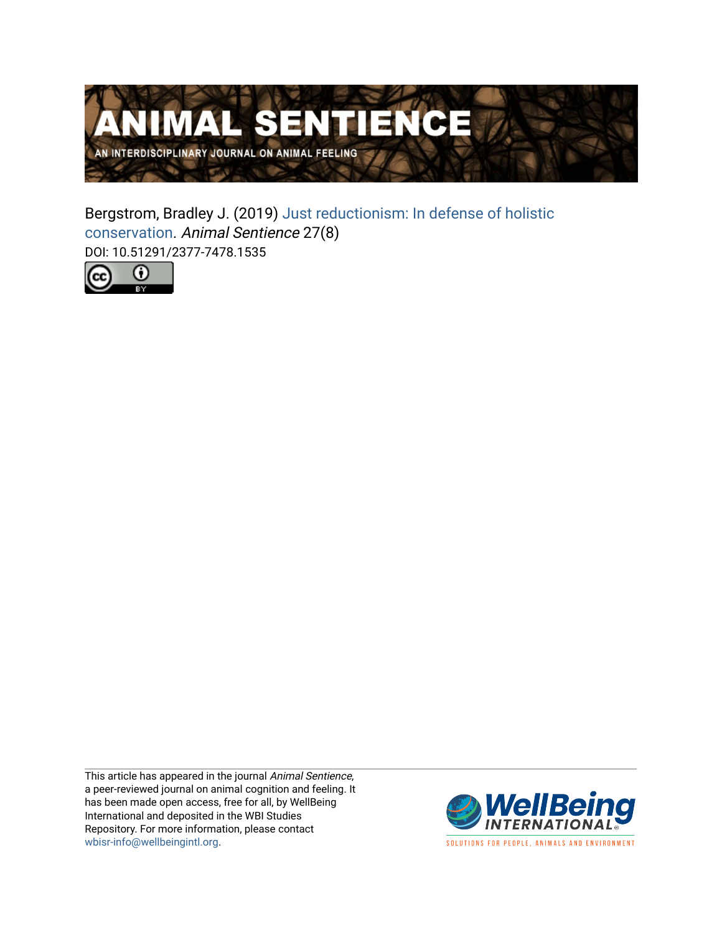

Bergstrom, Bradley J. (2019) [Just reductionism: In defense of holistic](https://www.wellbeingintlstudiesrepository.org/animsent/vol4/iss27/8) [conservation.](https://www.wellbeingintlstudiesrepository.org/animsent/vol4/iss27/8) Animal Sentience 27(8) DOI: 10.51291/2377-7478.1535



This article has appeared in the journal Animal Sentience, a peer-reviewed journal on animal cognition and feeling. It has been made open access, free for all, by WellBeing International and deposited in the WBI Studies Repository. For more information, please contact [wbisr-info@wellbeingintl.org](mailto:wbisr-info@wellbeingintl.org).



SOLUTIONS FOR PEOPLE, ANIMALS AND ENVIRONMENT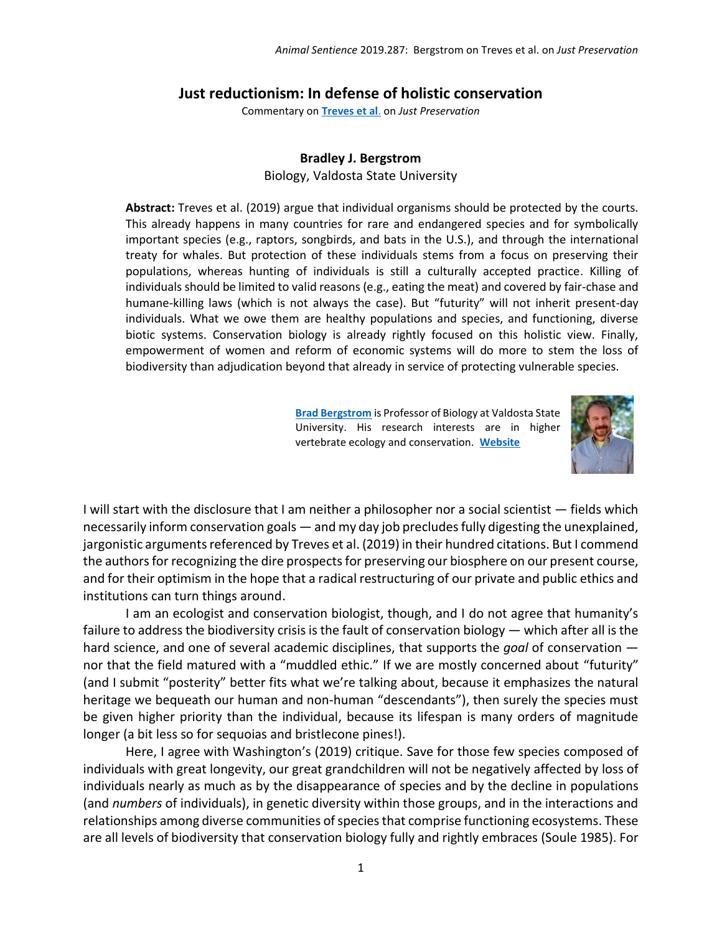## **Just reductionism: In defense of holistic conservation**

Commentary on **[Treves et al](https://animalstudiesrepository.org/animsent/vol4/iss27/1/)**. on *Just Preservation*

## **Bradley J. Bergstrom**

Biology, Valdosta State University

**Abstract:** Treves et al. (2019) argue that individual organisms should be protected by the courts. This already happens in many countries for rare and endangered species and for symbolically important species (e.g., raptors, songbirds, and bats in the U.S.), and through the international treaty for whales. But protection of these individuals stems from a focus on preserving their populations, whereas hunting of individuals is still a culturally accepted practice. Killing of individuals should be limited to valid reasons (e.g., eating the meat) and covered by fair-chase and humane-killing laws (which is not always the case). But "futurity" will not inherit present-day individuals. What we owe them are healthy populations and species, and functioning, diverse biotic systems. Conservation biology is already rightly focused on this holistic view. Finally, empowerment of women and reform of economic systems will do more to stem the loss of biodiversity than adjudication beyond that already in service of protecting vulnerable species.

> **[Brad Bergstrom](mailto:bergstrm@valdosta.edu)** is Professor of Biology at Valdosta State University. His research interests are in higher vertebrate ecology and conservation. **[Website](https://mypages.valdosta.edu/bergstrm/)**



I will start with the disclosure that I am neither a philosopher nor a social scientist — fields which necessarily inform conservation goals — and my day job precludesfully digesting the unexplained, jargonistic arguments referenced by Treves et al. (2019) in their hundred citations. But I commend the authors for recognizing the dire prospects for preserving our biosphere on our present course, and for their optimism in the hope that a radical restructuring of our private and public ethics and institutions can turn things around.

I am an ecologist and conservation biologist, though, and I do not agree that humanity's failure to address the biodiversity crisis is the fault of conservation biology — which after all is the hard science, and one of several academic disciplines, that supports the *goal* of conservation nor that the field matured with a "muddled ethic." If we are mostly concerned about "futurity" (and I submit "posterity" better fits what we're talking about, because it emphasizes the natural heritage we bequeath our human and non-human "descendants"), then surely the species must be given higher priority than the individual, because its lifespan is many orders of magnitude longer (a bit less so for sequoias and bristlecone pines!).

Here, I agree with Washington's (2019) critique. Save for those few species composed of individuals with great longevity, our great grandchildren will not be negatively affected by loss of individuals nearly as much as by the disappearance of species and by the decline in populations (and *numbers* of individuals), in genetic diversity within those groups, and in the interactions and relationships among diverse communities of species that comprise functioning ecosystems. These are all levels of biodiversity that conservation biology fully and rightly embraces (Soule 1985). For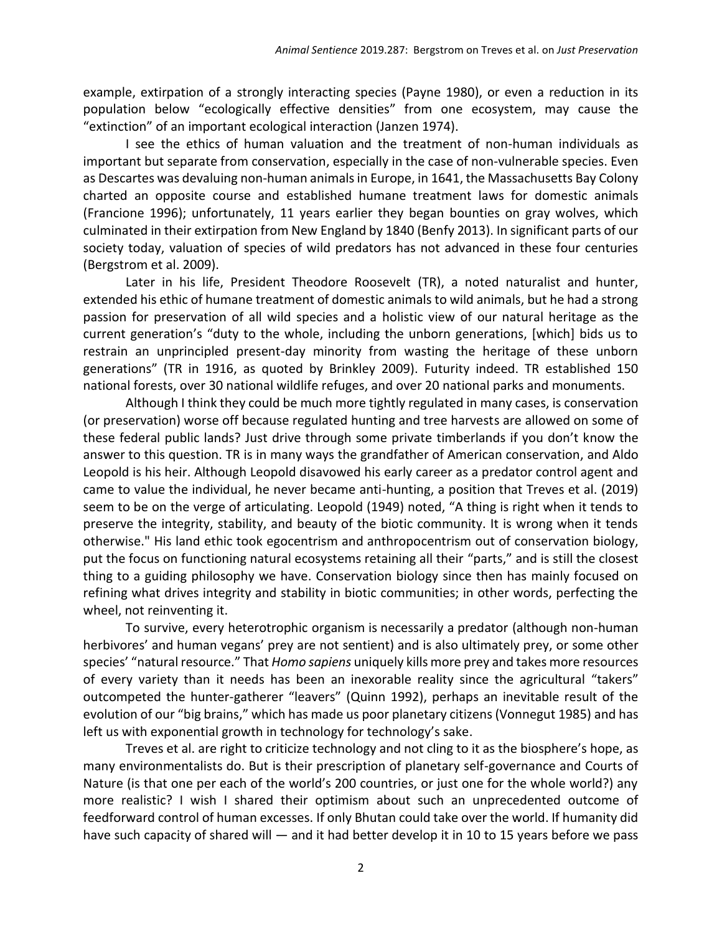example, extirpation of a strongly interacting species (Payne 1980), or even a reduction in its population below "ecologically effective densities" from one ecosystem, may cause the "extinction" of an important ecological interaction (Janzen 1974).

I see the ethics of human valuation and the treatment of non-human individuals as important but separate from conservation, especially in the case of non-vulnerable species. Even as Descartes was devaluing non-human animals in Europe, in 1641, the Massachusetts Bay Colony charted an opposite course and established humane treatment laws for domestic animals (Francione 1996); unfortunately, 11 years earlier they began bounties on gray wolves, which culminated in their extirpation from New England by 1840 (Benfy 2013). In significant parts of our society today, valuation of species of wild predators has not advanced in these four centuries (Bergstrom et al. 2009).

Later in his life, President Theodore Roosevelt (TR), a noted naturalist and hunter, extended his ethic of humane treatment of domestic animals to wild animals, but he had a strong passion for preservation of all wild species and a holistic view of our natural heritage as the current generation's "duty to the whole, including the unborn generations, [which] bids us to restrain an unprincipled present-day minority from wasting the heritage of these unborn generations" (TR in 1916, as quoted by Brinkley 2009). Futurity indeed. TR established 150 national forests, over 30 national wildlife refuges, and over 20 national parks and monuments.

Although I think they could be much more tightly regulated in many cases, is conservation (or preservation) worse off because regulated hunting and tree harvests are allowed on some of these federal public lands? Just drive through some private timberlands if you don't know the answer to this question. TR is in many ways the grandfather of American conservation, and Aldo Leopold is his heir. Although Leopold disavowed his early career as a predator control agent and came to value the individual, he never became anti-hunting, a position that Treves et al. (2019) seem to be on the verge of articulating. Leopold (1949) noted, "A thing is right when it tends to preserve the integrity, stability, and beauty of the biotic community. It is wrong when it tends otherwise." His land ethic took egocentrism and anthropocentrism out of conservation biology, put the focus on functioning natural ecosystems retaining all their "parts," and is still the closest thing to a guiding philosophy we have. Conservation biology since then has mainly focused on refining what drives integrity and stability in biotic communities; in other words, perfecting the wheel, not reinventing it.

To survive, every heterotrophic organism is necessarily a predator (although non-human herbivores' and human vegans' prey are not sentient) and is also ultimately prey, or some other species' "natural resource." That *Homo sapiens* uniquely kills more prey and takes more resources of every variety than it needs has been an inexorable reality since the agricultural "takers" outcompeted the hunter-gatherer "leavers" (Quinn 1992), perhaps an inevitable result of the evolution of our "big brains," which has made us poor planetary citizens (Vonnegut 1985) and has left us with exponential growth in technology for technology's sake.

Treves et al. are right to criticize technology and not cling to it as the biosphere's hope, as many environmentalists do. But is their prescription of planetary self-governance and Courts of Nature (is that one per each of the world's 200 countries, or just one for the whole world?) any more realistic? I wish I shared their optimism about such an unprecedented outcome of feedforward control of human excesses. If only Bhutan could take over the world. If humanity did have such capacity of shared will — and it had better develop it in 10 to 15 years before we pass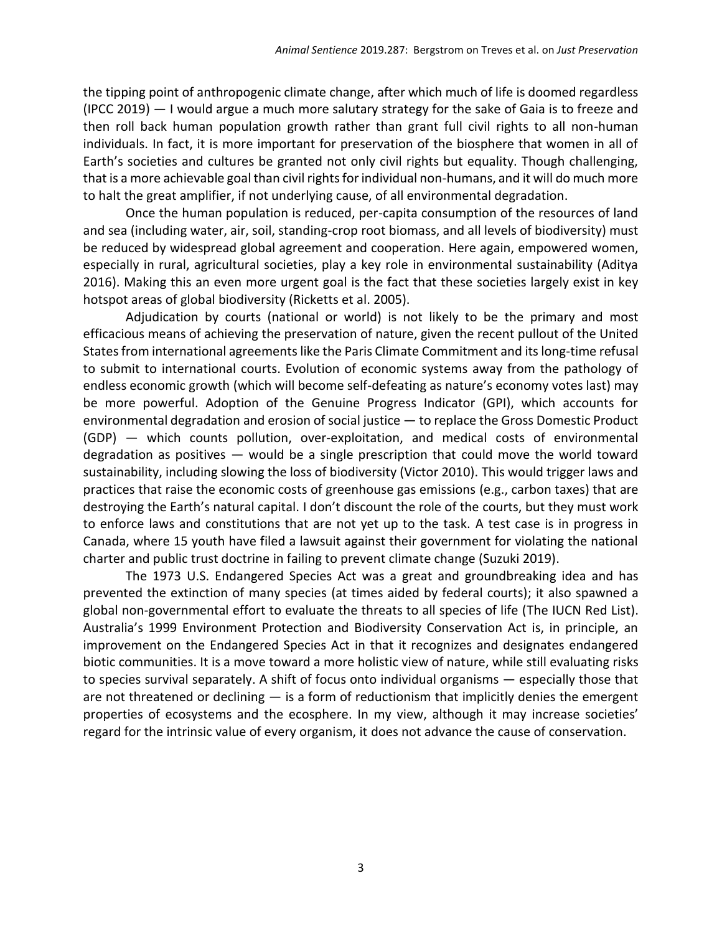the tipping point of anthropogenic climate change, after which much of life is doomed regardless (IPCC 2019) — I would argue a much more salutary strategy for the sake of Gaia is to freeze and then roll back human population growth rather than grant full civil rights to all non-human individuals. In fact, it is more important for preservation of the biosphere that women in all of Earth's societies and cultures be granted not only civil rights but equality. Though challenging, that is a more achievable goal than civil rights for individual non-humans, and it will do much more to halt the great amplifier, if not underlying cause, of all environmental degradation.

Once the human population is reduced, per-capita consumption of the resources of land and sea (including water, air, soil, standing-crop root biomass, and all levels of biodiversity) must be reduced by widespread global agreement and cooperation. Here again, empowered women, especially in rural, agricultural societies, play a key role in environmental sustainability (Aditya 2016). Making this an even more urgent goal is the fact that these societies largely exist in key hotspot areas of global biodiversity (Ricketts et al. 2005).

Adjudication by courts (national or world) is not likely to be the primary and most efficacious means of achieving the preservation of nature, given the recent pullout of the United States from international agreements like the Paris Climate Commitment and its long-time refusal to submit to international courts. Evolution of economic systems away from the pathology of endless economic growth (which will become self-defeating as nature's economy votes last) may be more powerful. Adoption of the Genuine Progress Indicator (GPI), which accounts for environmental degradation and erosion of social justice — to replace the Gross Domestic Product (GDP) — which counts pollution, over-exploitation, and medical costs of environmental degradation as positives — would be a single prescription that could move the world toward sustainability, including slowing the loss of biodiversity (Victor 2010). This would trigger laws and practices that raise the economic costs of greenhouse gas emissions (e.g., carbon taxes) that are destroying the Earth's natural capital. I don't discount the role of the courts, but they must work to enforce laws and constitutions that are not yet up to the task. A test case is in progress in Canada, where 15 youth have filed a lawsuit against their government for violating the national charter and public trust doctrine in failing to prevent climate change (Suzuki 2019).

The 1973 U.S. Endangered Species Act was a great and groundbreaking idea and has prevented the extinction of many species (at times aided by federal courts); it also spawned a global non-governmental effort to evaluate the threats to all species of life (The IUCN Red List). Australia's 1999 Environment Protection and Biodiversity Conservation Act is, in principle, an improvement on the Endangered Species Act in that it recognizes and designates endangered biotic communities. It is a move toward a more holistic view of nature, while still evaluating risks to species survival separately. A shift of focus onto individual organisms — especially those that are not threatened or declining  $-$  is a form of reductionism that implicitly denies the emergent properties of ecosystems and the ecosphere. In my view, although it may increase societies' regard for the intrinsic value of every organism, it does not advance the cause of conservation.